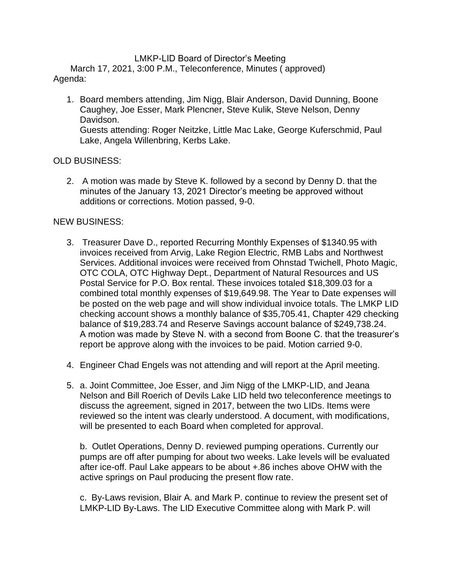## LMKP-LID Board of Director's Meeting

 March 17, 2021, 3:00 P.M., Teleconference, Minutes ( approved) Agenda:

1. Board members attending, Jim Nigg, Blair Anderson, David Dunning, Boone Caughey, Joe Esser, Mark Plencner, Steve Kulik, Steve Nelson, Denny Davidson. Guests attending: Roger Neitzke, Little Mac Lake, George Kuferschmid, Paul Lake, Angela Willenbring, Kerbs Lake.

## OLD BUSINESS:

2. A motion was made by Steve K. followed by a second by Denny D. that the minutes of the January 13, 2021 Director's meeting be approved without additions or corrections. Motion passed, 9-0.

## NEW BUSINESS:

- 3. Treasurer Dave D., reported Recurring Monthly Expenses of \$1340.95 with invoices received from Arvig, Lake Region Electric, RMB Labs and Northwest Services. Additional invoices were received from Ohnstad Twichell, Photo Magic, OTC COLA, OTC Highway Dept., Department of Natural Resources and US Postal Service for P.O. Box rental. These invoices totaled \$18,309.03 for a combined total monthly expenses of \$19,649.98. The Year to Date expenses will be posted on the web page and will show individual invoice totals. The LMKP LID checking account shows a monthly balance of \$35,705.41, Chapter 429 checking balance of \$19,283.74 and Reserve Savings account balance of \$249,738.24. A motion was made by Steve N. with a second from Boone C. that the treasurer's report be approve along with the invoices to be paid. Motion carried 9-0.
- 4. Engineer Chad Engels was not attending and will report at the April meeting.
- 5. a. Joint Committee, Joe Esser, and Jim Nigg of the LMKP-LID, and Jeana Nelson and Bill Roerich of Devils Lake LID held two teleconference meetings to discuss the agreement, signed in 2017, between the two LIDs. Items were reviewed so the intent was clearly understood. A document, with modifications, will be presented to each Board when completed for approval.

b. Outlet Operations, Denny D. reviewed pumping operations. Currently our pumps are off after pumping for about two weeks. Lake levels will be evaluated after ice-off. Paul Lake appears to be about +.86 inches above OHW with the active springs on Paul producing the present flow rate.

c. By-Laws revision, Blair A. and Mark P. continue to review the present set of LMKP-LID By-Laws. The LID Executive Committee along with Mark P. will